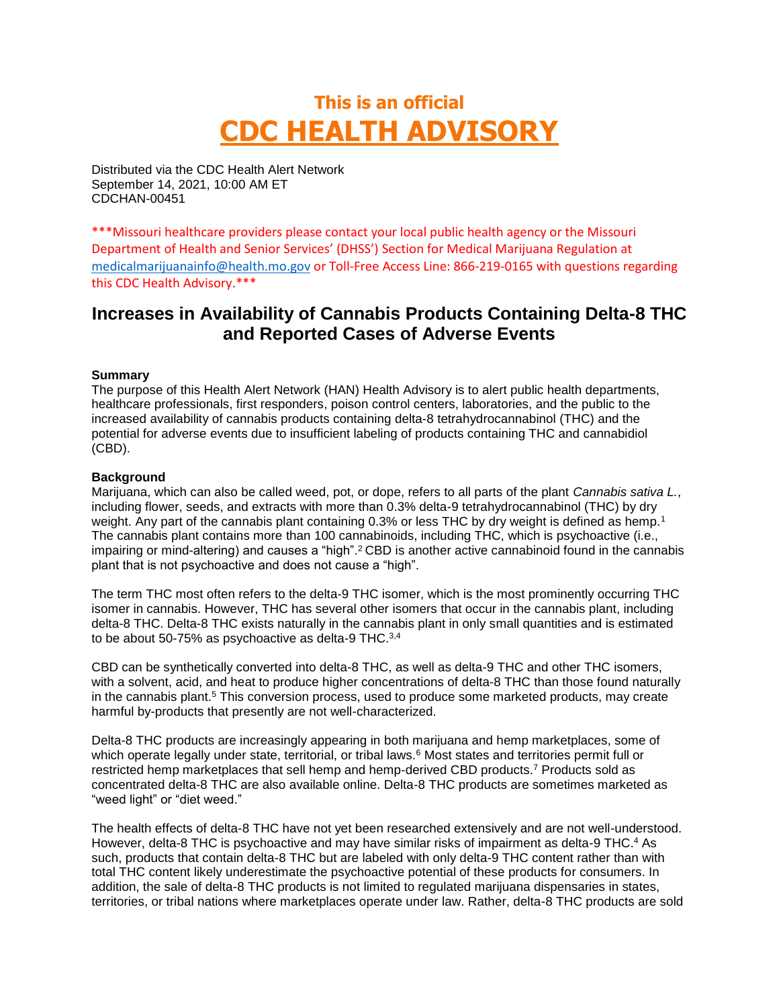# **This is an official CDC HEALTH ADVISORY**

Distributed via the CDC Health Alert Network September 14, 2021, 10:00 AM ET CDCHAN-00451

\*\*\*Missouri healthcare providers please contact your local public health agency or the Missouri Department of Health and Senior Services' (DHSS') Section for Medical Marijuana Regulation at [medicalmarijuanainfo@health.mo.gov](mailto:medicalmarijuanainfo@health.mo.gov) or Toll-Free Access Line: 866-219-0165 with questions regarding this CDC Health Advisory.\*\*\*

# **Increases in Availability of Cannabis Products Containing Delta-8 THC and Reported Cases of Adverse Events**

#### **Summary**

The purpose of this Health Alert Network (HAN) Health Advisory is to alert public health departments, healthcare professionals, first responders, poison control centers, laboratories, and the public to the increased availability of cannabis products containing delta-8 tetrahydrocannabinol (THC) and the potential for adverse events due to insufficient labeling of products containing THC and cannabidiol (CBD).

#### **Background**

Marijuana, which can also be called weed, pot, or dope, refers to all parts of the plant *Cannabis sativa L.*, including flower, seeds, and extracts with more than 0.3% delta-9 tetrahydrocannabinol (THC) by dry weight. Any part of the cannabis plant containing 0.3% or less THC by dry weight is defined as hemp.<sup>1</sup> The cannabis plant contains more than 100 cannabinoids, including THC, which is psychoactive (i.e., impairing or mind-altering) and causes a "high".<sup>2</sup> CBD is another active cannabinoid found in the cannabis plant that is not psychoactive and does not cause a "high".

The term THC most often refers to the delta-9 THC isomer, which is the most prominently occurring THC isomer in cannabis. However, THC has several other isomers that occur in the cannabis plant, including delta-8 THC. Delta-8 THC exists naturally in the cannabis plant in only small quantities and is estimated to be about 50-75% as psychoactive as delta-9 THC.3,4

CBD can be synthetically converted into delta-8 THC, as well as delta-9 THC and other THC isomers, with a solvent, acid, and heat to produce higher concentrations of delta-8 THC than those found naturally in the cannabis plant.<sup>5</sup> This conversion process, used to produce some marketed products, may create harmful by-products that presently are not well-characterized.

Delta-8 THC products are increasingly appearing in both marijuana and hemp marketplaces, some of which operate legally under state, territorial, or tribal laws.<sup>6</sup> Most states and territories permit full or restricted hemp marketplaces that sell hemp and hemp-derived CBD products.<sup>7</sup> Products sold as concentrated delta-8 THC are also available online. Delta-8 THC products are sometimes marketed as "weed light" or "diet weed."

The health effects of delta-8 THC have not yet been researched extensively and are not well-understood. However, delta-8 THC is psychoactive and may have similar risks of impairment as delta-9 THC.<sup>4</sup> As such, products that contain delta-8 THC but are labeled with only delta-9 THC content rather than with total THC content likely underestimate the psychoactive potential of these products for consumers. In addition, the sale of delta-8 THC products is not limited to regulated marijuana dispensaries in states, territories, or tribal nations where marketplaces operate under law. Rather, delta-8 THC products are sold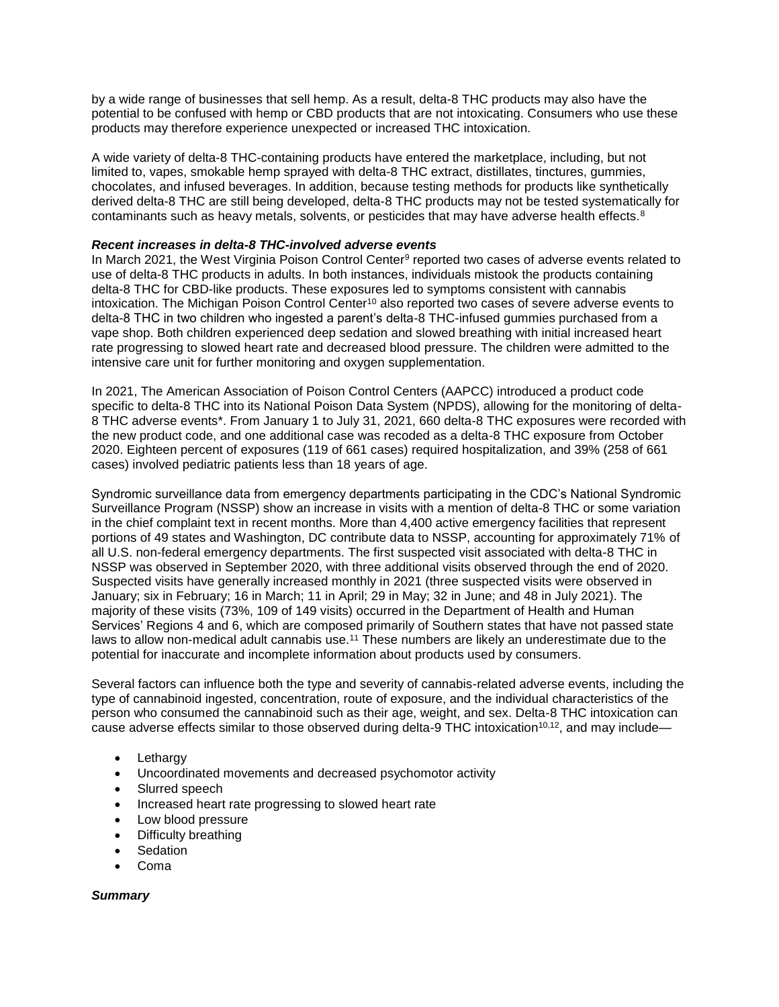by a wide range of businesses that sell hemp. As a result, delta-8 THC products may also have the potential to be confused with hemp or CBD products that are not intoxicating. Consumers who use these products may therefore experience unexpected or increased THC intoxication.

A wide variety of delta-8 THC-containing products have entered the marketplace, including, but not limited to, vapes, smokable hemp sprayed with delta-8 THC extract, distillates, tinctures, gummies, chocolates, and infused beverages. In addition, because testing methods for products like synthetically derived delta-8 THC are still being developed, delta-8 THC products may not be tested systematically for contaminants such as heavy metals, solvents, or pesticides that may have adverse health effects. $8$ 

#### *Recent increases in delta-8 THC-involved adverse events*

In March 2021, the West Virginia Poison Control Center<sup>9</sup> reported two cases of adverse events related to use of delta-8 THC products in adults. In both instances, individuals mistook the products containing delta-8 THC for CBD-like products. These exposures led to symptoms consistent with cannabis intoxication. The Michigan Poison Control Center<sup>10</sup> also reported two cases of severe adverse events to delta-8 THC in two children who ingested a parent's delta-8 THC-infused gummies purchased from a vape shop. Both children experienced deep sedation and slowed breathing with initial increased heart rate progressing to slowed heart rate and decreased blood pressure. The children were admitted to the intensive care unit for further monitoring and oxygen supplementation.

In 2021, The American Association of Poison Control Centers (AAPCC) introduced a product code specific to delta-8 THC into its National Poison Data System (NPDS), allowing for the monitoring of delta-8 THC adverse events\*. From January 1 to July 31, 2021, 660 delta-8 THC exposures were recorded with the new product code, and one additional case was recoded as a delta-8 THC exposure from October 2020. Eighteen percent of exposures (119 of 661 cases) required hospitalization, and 39% (258 of 661 cases) involved pediatric patients less than 18 years of age.

Syndromic surveillance data from emergency departments participating in the CDC's National Syndromic Surveillance Program (NSSP) show an increase in visits with a mention of delta-8 THC or some variation in the chief complaint text in recent months. More than 4,400 active emergency facilities that represent portions of 49 states and Washington, DC contribute data to NSSP, accounting for approximately 71% of all U.S. non-federal emergency departments. The first suspected visit associated with delta-8 THC in NSSP was observed in September 2020, with three additional visits observed through the end of 2020. Suspected visits have generally increased monthly in 2021 (three suspected visits were observed in January; six in February; 16 in March; 11 in April; 29 in May; 32 in June; and 48 in July 2021). The majority of these visits (73%, 109 of 149 visits) occurred in the Department of Health and Human Services' Regions 4 and 6, which are composed primarily of Southern states that have not passed state laws to allow non-medical adult cannabis use.<sup>11</sup> These numbers are likely an underestimate due to the potential for inaccurate and incomplete information about products used by consumers.

Several factors can influence both the type and severity of cannabis-related adverse events, including the type of cannabinoid ingested, concentration, route of exposure, and the individual characteristics of the person who consumed the cannabinoid such as their age, weight, and sex. Delta-8 THC intoxication can cause adverse effects similar to those observed during delta-9 THC intoxication<sup>10,12</sup>, and may include—

- Lethargy
- Uncoordinated movements and decreased psychomotor activity
- Slurred speech
- Increased heart rate progressing to slowed heart rate
- Low blood pressure
- Difficulty breathing
- **Sedation**
- Coma

## *Summary*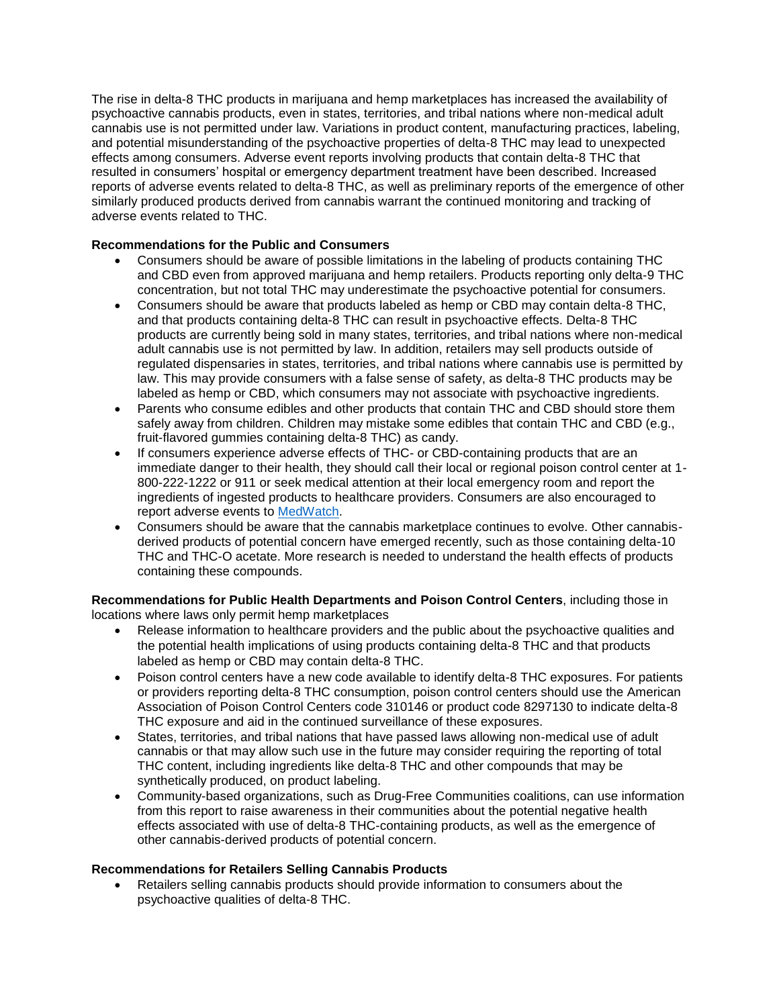The rise in delta-8 THC products in marijuana and hemp marketplaces has increased the availability of psychoactive cannabis products, even in states, territories, and tribal nations where non-medical adult cannabis use is not permitted under law. Variations in product content, manufacturing practices, labeling, and potential misunderstanding of the psychoactive properties of delta-8 THC may lead to unexpected effects among consumers. Adverse event reports involving products that contain delta-8 THC that resulted in consumers' hospital or emergency department treatment have been described. Increased reports of adverse events related to delta-8 THC, as well as preliminary reports of the emergence of other similarly produced products derived from cannabis warrant the continued monitoring and tracking of adverse events related to THC.

# **Recommendations for the Public and Consumers**

- Consumers should be aware of possible limitations in the labeling of products containing THC and CBD even from approved marijuana and hemp retailers. Products reporting only delta-9 THC concentration, but not total THC may underestimate the psychoactive potential for consumers.
- Consumers should be aware that products labeled as hemp or CBD may contain delta-8 THC, and that products containing delta-8 THC can result in psychoactive effects. Delta-8 THC products are currently being sold in many states, territories, and tribal nations where non-medical adult cannabis use is not permitted by law. In addition, retailers may sell products outside of regulated dispensaries in states, territories, and tribal nations where cannabis use is permitted by law. This may provide consumers with a false sense of safety, as delta-8 THC products may be labeled as hemp or CBD, which consumers may not associate with psychoactive ingredients.
- Parents who consume edibles and other products that contain THC and CBD should store them safely away from children. Children may mistake some edibles that contain THC and CBD (e.g., fruit-flavored gummies containing delta-8 THC) as candy.
- If consumers experience adverse effects of THC- or CBD-containing products that are an immediate danger to their health, they should call their local or regional poison control center at 1- 800-222-1222 or 911 or seek medical attention at their local emergency room and report the ingredients of ingested products to healthcare providers. Consumers are also encouraged to report adverse events to [MedWatch.](https://urldefense.com/v3/__https:/www.fda.gov/safety/medwatch-fda-safety-information-and-adverse-event-reporting-program__;!!EErPFA7f--AJOw!S-PuOcWFIVJOMSSaVyAAPIr4l4deAeFJfeUpMiX0Jta0a6sn6zJmRbe0PZsdmw$)
- Consumers should be aware that the cannabis marketplace continues to evolve. Other cannabisderived products of potential concern have emerged recently, such as those containing delta-10 THC and THC-O acetate. More research is needed to understand the health effects of products containing these compounds.

**Recommendations for Public Health Departments and Poison Control Centers**, including those in locations where laws only permit hemp marketplaces

- Release information to healthcare providers and the public about the psychoactive qualities and the potential health implications of using products containing delta-8 THC and that products labeled as hemp or CBD may contain delta-8 THC.
- Poison control centers have a new code available to identify delta-8 THC exposures. For patients or providers reporting delta-8 THC consumption, poison control centers should use the American Association of Poison Control Centers code 310146 or product code 8297130 to indicate delta-8 THC exposure and aid in the continued surveillance of these exposures.
- States, territories, and tribal nations that have passed laws allowing non-medical use of adult cannabis or that may allow such use in the future may consider requiring the reporting of total THC content, including ingredients like delta-8 THC and other compounds that may be synthetically produced, on product labeling.
- Community-based organizations, such as Drug-Free Communities coalitions, can use information from this report to raise awareness in their communities about the potential negative health effects associated with use of delta-8 THC-containing products, as well as the emergence of other cannabis-derived products of potential concern.

## **Recommendations for Retailers Selling Cannabis Products**

 Retailers selling cannabis products should provide information to consumers about the psychoactive qualities of delta-8 THC.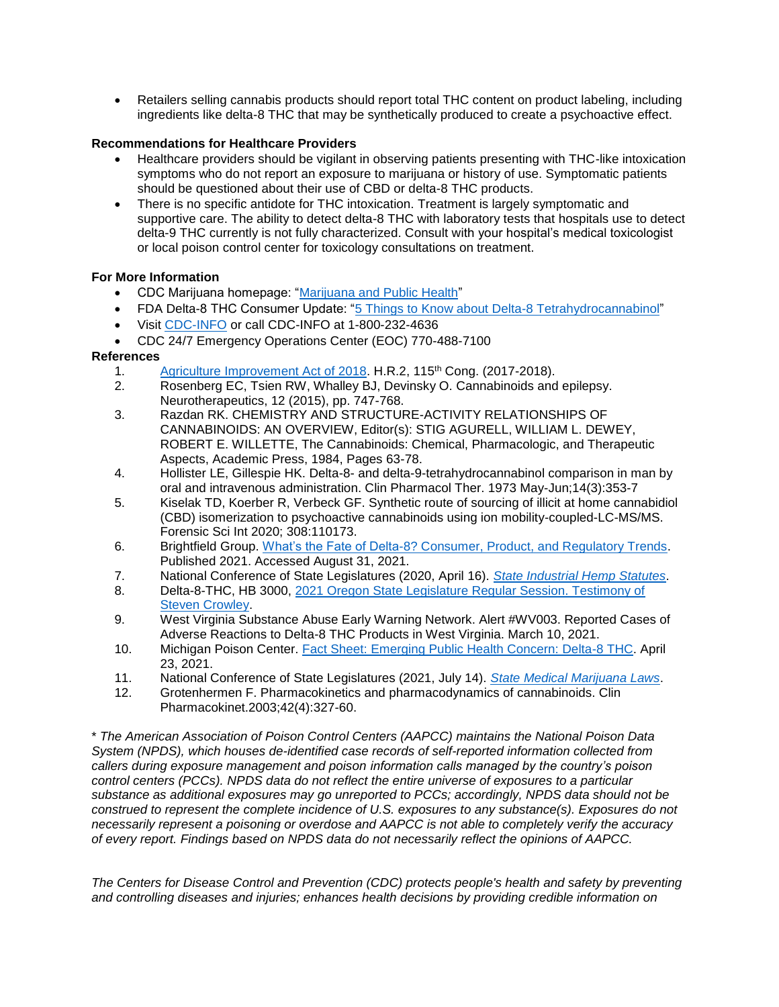Retailers selling cannabis products should report total THC content on product labeling, including ingredients like delta-8 THC that may be synthetically produced to create a psychoactive effect.

# **Recommendations for Healthcare Providers**

- Healthcare providers should be vigilant in observing patients presenting with THC-like intoxication symptoms who do not report an exposure to marijuana or history of use. Symptomatic patients should be questioned about their use of CBD or delta-8 THC products.
- There is no specific antidote for THC intoxication. Treatment is largely symptomatic and supportive care. The ability to detect delta-8 THC with laboratory tests that hospitals use to detect delta-9 THC currently is not fully characterized. Consult with your hospital's medical toxicologist or local poison control center for toxicology consultations on treatment.

## **For More Information**

- CDC Marijuana homepage: ["Marijuana and Public Health"](https://urldefense.com/v3/__https:/www.cdc.gov/marijuana/__;!!EErPFA7f--AJOw!S-PuOcWFIVJOMSSaVyAAPIr4l4deAeFJfeUpMiX0Jta0a6sn6zJmRbckwbHDCQ$)
- FDA Delta-8 THC Consumer Update: ["5 Things to Know about Delta-8 Tetrahydrocannabinol"](https://urldefense.com/v3/__https:/www.fda.gov/consumers/consumer-updates/5-things-know-about-delta-8-tetrahydrocannabinol-delta-8-thc__;!!EErPFA7f--AJOw!S-PuOcWFIVJOMSSaVyAAPIr4l4deAeFJfeUpMiX0Jta0a6sn6zJmRbcOqKRfVA$)
- Visit [CDC-INFO](https://urldefense.com/v3/__https:/www.cdc.gov/cdc-info/index.html__;!!EErPFA7f--AJOw!S-PuOcWFIVJOMSSaVyAAPIr4l4deAeFJfeUpMiX0Jta0a6sn6zJmRbd-IUCIfg$) or call CDC-INFO at 1-800-232-4636
- CDC 24/7 Emergency Operations Center (EOC) 770-488-7100

## **References**

- 1. [Agriculture Improvement Act of 2018.](https://urldefense.com/v3/__https:/www.congress.gov/bill/115th-congress/house-bill/2__;!!EErPFA7f--AJOw!S-PuOcWFIVJOMSSaVyAAPIr4l4deAeFJfeUpMiX0Jta0a6sn6zJmRbfUteVa5Q$) H.R.2, 115<sup>th</sup> Cong. (2017-2018).
- 2. Rosenberg EC, Tsien RW, Whalley BJ, Devinsky O. Cannabinoids and epilepsy. Neurotherapeutics, 12 (2015), pp. 747-768.
- 3. Razdan RK. CHEMISTRY AND STRUCTURE-ACTIVITY RELATIONSHIPS OF CANNABINOIDS: AN OVERVIEW, Editor(s): STIG AGURELL, WILLIAM L. DEWEY, ROBERT E. WILLETTE, The Cannabinoids: Chemical, Pharmacologic, and Therapeutic Aspects, Academic Press, 1984, Pages 63-78.
- 4. Hollister LE, Gillespie HK. Delta-8- and delta-9-tetrahydrocannabinol comparison in man by oral and intravenous administration. Clin Pharmacol Ther. 1973 May-Jun;14(3):353-7
- 5. Kiselak TD, Koerber R, Verbeck GF. Synthetic route of sourcing of illicit at home cannabidiol (CBD) isomerization to psychoactive cannabinoids using ion mobility-coupled-LC-MS/MS. Forensic Sci Int 2020; 308:110173.
- 6. Brightfield Group. [What's the Fate of Delta-8? Consumer, Product, and Regulatory Trends.](https://urldefense.com/v3/__https:/content.brightfieldgroup.com/delta-8-report__;!!EErPFA7f--AJOw!S-PuOcWFIVJOMSSaVyAAPIr4l4deAeFJfeUpMiX0Jta0a6sn6zJmRbddT9xSkQ$) Published 2021. Accessed August 31, 2021.
- 7. National Conference of State Legislatures (2020, April 16). *[State Industrial Hemp Statutes](https://urldefense.com/v3/__https:/www.ncsl.org/research/agriculture-and-rural-development/state-industrial-hemp-statutes.aspx__;!!EErPFA7f--AJOw!S-PuOcWFIVJOMSSaVyAAPIr4l4deAeFJfeUpMiX0Jta0a6sn6zJmRbdwaF6Bzg$)*.
- 8. Delta-8-THC, HB 3000, [2021 Oregon State Legislature Regular Session. Testimony of](https://urldefense.com/v3/__https:/olis.oregonlegislature.gov/liz/2021R1/Measures/Testimony/HB3000__;!!EErPFA7f--AJOw!S-PuOcWFIVJOMSSaVyAAPIr4l4deAeFJfeUpMiX0Jta0a6sn6zJmRbeKUieJfA$)  [Steven Crowley.](https://urldefense.com/v3/__https:/olis.oregonlegislature.gov/liz/2021R1/Measures/Testimony/HB3000__;!!EErPFA7f--AJOw!S-PuOcWFIVJOMSSaVyAAPIr4l4deAeFJfeUpMiX0Jta0a6sn6zJmRbeKUieJfA$)
- 9. West Virginia Substance Abuse Early Warning Network. Alert #WV003. Reported Cases of Adverse Reactions to Delta-8 THC Products in West Virginia. March 10, 2021.
- 10. Michigan Poison Center. [Fact Sheet: Emerging Public Health Concern: Delta-8 THC.](https://urldefense.com/v3/__https:/static1.squarespace.com/static/5f777ef4c9213f4b5800fc9a/t/60832a49de02a46cdbd3a25d/1619208777303/Delta-8*THC*PSA*final.pdf__;Kysr!!EErPFA7f--AJOw!S-PuOcWFIVJOMSSaVyAAPIr4l4deAeFJfeUpMiX0Jta0a6sn6zJmRbfyC89Nxw$) April 23, 2021.
- 11. National Conference of State Legislatures (2021, July 14). *[State Medical Marijuana Laws](https://urldefense.com/v3/__https:/www.ncsl.org/research/health/state-medical-marijuana-laws.aspx__;!!EErPFA7f--AJOw!S-PuOcWFIVJOMSSaVyAAPIr4l4deAeFJfeUpMiX0Jta0a6sn6zJmRbdbTpHpOw$)*.
- 12. Grotenhermen F. Pharmacokinetics and pharmacodynamics of cannabinoids. Clin Pharmacokinet.2003;42(4):327-60.

\* *The American Association of Poison Control Centers (AAPCC) maintains the National Poison Data System (NPDS), which houses de-identified case records of self-reported information collected from callers during exposure management and poison information calls managed by the country's poison control centers (PCCs). NPDS data do not reflect the entire universe of exposures to a particular substance as additional exposures may go unreported to PCCs; accordingly, NPDS data should not be construed to represent the complete incidence of U.S. exposures to any substance(s). Exposures do not necessarily represent a poisoning or overdose and AAPCC is not able to completely verify the accuracy of every report. Findings based on NPDS data do not necessarily reflect the opinions of AAPCC.*

*The Centers for Disease Control and Prevention (CDC) protects people's health and safety by preventing and controlling diseases and injuries; enhances health decisions by providing credible information on*